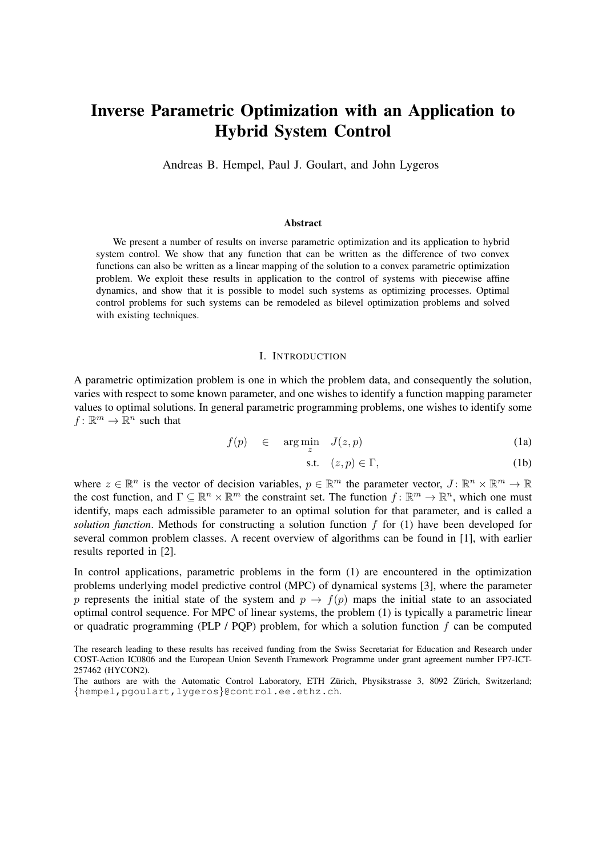# Inverse Parametric Optimization with an Application to Hybrid System Control

Andreas B. Hempel, Paul J. Goulart, and John Lygeros

#### Abstract

We present a number of results on inverse parametric optimization and its application to hybrid system control. We show that any function that can be written as the difference of two convex functions can also be written as a linear mapping of the solution to a convex parametric optimization problem. We exploit these results in application to the control of systems with piecewise affine dynamics, and show that it is possible to model such systems as optimizing processes. Optimal control problems for such systems can be remodeled as bilevel optimization problems and solved with existing techniques.

#### I. INTRODUCTION

A parametric optimization problem is one in which the problem data, and consequently the solution, varies with respect to some known parameter, and one wishes to identify a function mapping parameter values to optimal solutions. In general parametric programming problems, one wishes to identify some  $f: \mathbb{R}^m \to \mathbb{R}^n$  such that

$$
f(p) \in \arg\min_{z} J(z,p) \tag{1a}
$$

$$
s.t. \quad (z, p) \in \Gamma,\tag{1b}
$$

where  $z \in \mathbb{R}^n$  is the vector of decision variables,  $p \in \mathbb{R}^m$  the parameter vector,  $J: \mathbb{R}^n \times \mathbb{R}^m \to \mathbb{R}$ the cost function, and  $\Gamma \subseteq \mathbb{R}^n \times \mathbb{R}^m$  the constraint set. The function  $f: \mathbb{R}^m \to \mathbb{R}^n$ , which one must identify, maps each admissible parameter to an optimal solution for that parameter, and is called a *solution function*. Methods for constructing a solution function f for (1) have been developed for several common problem classes. A recent overview of algorithms can be found in [1], with earlier results reported in [2].

In control applications, parametric problems in the form (1) are encountered in the optimization problems underlying model predictive control (MPC) of dynamical systems [3], where the parameter p represents the initial state of the system and  $p \rightarrow f(p)$  maps the initial state to an associated optimal control sequence. For MPC of linear systems, the problem (1) is typically a parametric linear or quadratic programming (PLP / PQP) problem, for which a solution function  $f$  can be computed

The research leading to these results has received funding from the Swiss Secretariat for Education and Research under COST-Action IC0806 and the European Union Seventh Framework Programme under grant agreement number FP7-ICT-257462 (HYCON2).

The authors are with the Automatic Control Laboratory, ETH Zürich, Physikstrasse 3, 8092 Zürich, Switzerland; {hempel,pgoulart,lygeros}@control.ee.ethz.ch.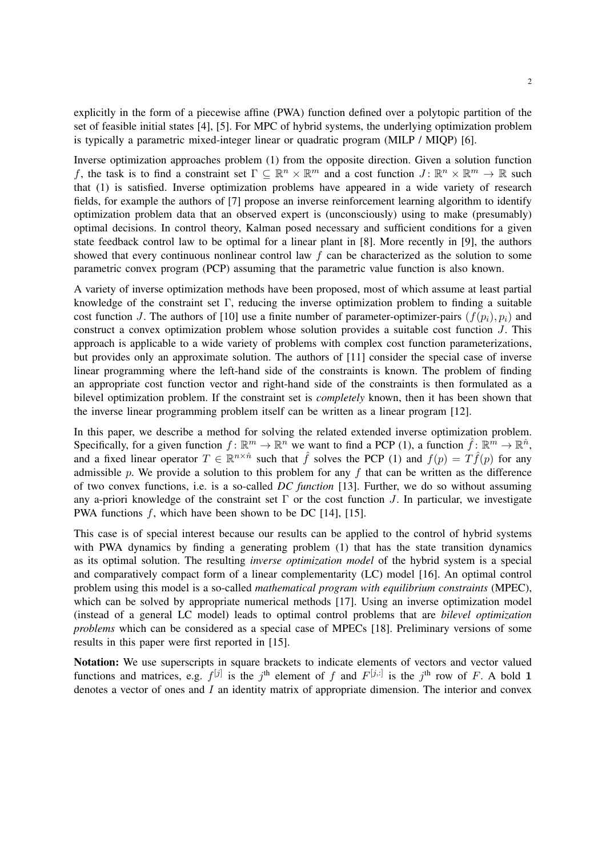explicitly in the form of a piecewise affine (PWA) function defined over a polytopic partition of the set of feasible initial states [4], [5]. For MPC of hybrid systems, the underlying optimization problem is typically a parametric mixed-integer linear or quadratic program (MILP / MIQP) [6].

Inverse optimization approaches problem (1) from the opposite direction. Given a solution function f, the task is to find a constraint set  $\Gamma \subseteq \mathbb{R}^n \times \mathbb{R}^m$  and a cost function  $J: \mathbb{R}^n \times \mathbb{R}^m \to \mathbb{R}$  such that (1) is satisfied. Inverse optimization problems have appeared in a wide variety of research fields, for example the authors of [7] propose an inverse reinforcement learning algorithm to identify optimization problem data that an observed expert is (unconsciously) using to make (presumably) optimal decisions. In control theory, Kalman posed necessary and sufficient conditions for a given state feedback control law to be optimal for a linear plant in [8]. More recently in [9], the authors showed that every continuous nonlinear control law f can be characterized as the solution to some parametric convex program (PCP) assuming that the parametric value function is also known.

A variety of inverse optimization methods have been proposed, most of which assume at least partial knowledge of the constraint set Γ, reducing the inverse optimization problem to finding a suitable cost function J. The authors of [10] use a finite number of parameter-optimizer-pairs  $(f(p_i), p_i)$  and construct a convex optimization problem whose solution provides a suitable cost function J. This approach is applicable to a wide variety of problems with complex cost function parameterizations, but provides only an approximate solution. The authors of [11] consider the special case of inverse linear programming where the left-hand side of the constraints is known. The problem of finding an appropriate cost function vector and right-hand side of the constraints is then formulated as a bilevel optimization problem. If the constraint set is *completely* known, then it has been shown that the inverse linear programming problem itself can be written as a linear program [12].

In this paper, we describe a method for solving the related extended inverse optimization problem. Specifically, for a given function  $f: \mathbb{R}^m \to \mathbb{R}^n$  we want to find a PCP (1), a function  $\hat{f}: \mathbb{R}^m \to \mathbb{R}^n$ , and a fixed linear operator  $T \in \mathbb{R}^{n \times \hat{n}}$  such that  $\hat{f}$  solves the PCP (1) and  $f(p) = T\hat{f}(p)$  for any admissible p. We provide a solution to this problem for any  $f$  that can be written as the difference of two convex functions, i.e. is a so-called *DC function* [13]. Further, we do so without assuming any a-priori knowledge of the constraint set  $\Gamma$  or the cost function J. In particular, we investigate PWA functions f, which have been shown to be DC [14], [15].

This case is of special interest because our results can be applied to the control of hybrid systems with PWA dynamics by finding a generating problem (1) that has the state transition dynamics as its optimal solution. The resulting *inverse optimization model* of the hybrid system is a special and comparatively compact form of a linear complementarity (LC) model [16]. An optimal control problem using this model is a so-called *mathematical program with equilibrium constraints* (MPEC), which can be solved by appropriate numerical methods [17]. Using an inverse optimization model (instead of a general LC model) leads to optimal control problems that are *bilevel optimization problems* which can be considered as a special case of MPECs [18]. Preliminary versions of some results in this paper were first reported in [15].

Notation: We use superscripts in square brackets to indicate elements of vectors and vector valued functions and matrices, e.g.  $f^{[j]}$  is the j<sup>th</sup> element of f and  $F^{[j,:]}$  is the j<sup>th</sup> row of F. A bold 1 denotes a vector of ones and  $I$  an identity matrix of appropriate dimension. The interior and convex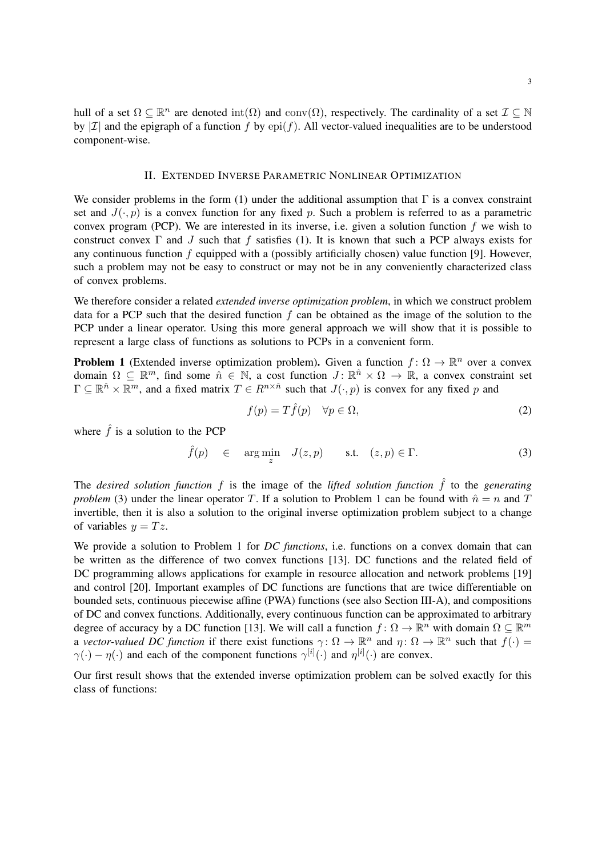hull of a set  $\Omega \subseteq \mathbb{R}^n$  are denoted  $\text{int}(\Omega)$  and  $\text{conv}(\Omega)$ , respectively. The cardinality of a set  $\mathcal{I} \subseteq \mathbb{N}$ by | $\mathcal{I}$ | and the epigraph of a function f by epi(f). All vector-valued inequalities are to be understood component-wise.

## II. EXTENDED INVERSE PARAMETRIC NONLINEAR OPTIMIZATION

We consider problems in the form (1) under the additional assumption that  $\Gamma$  is a convex constraint set and  $J(\cdot, p)$  is a convex function for any fixed p. Such a problem is referred to as a parametric convex program (PCP). We are interested in its inverse, i.e. given a solution function  $f$  we wish to construct convex  $\Gamma$  and  $J$  such that f satisfies (1). It is known that such a PCP always exists for any continuous function f equipped with a (possibly artificially chosen) value function [9]. However, such a problem may not be easy to construct or may not be in any conveniently characterized class of convex problems.

We therefore consider a related *extended inverse optimization problem*, in which we construct problem data for a PCP such that the desired function  $f$  can be obtained as the image of the solution to the PCP under a linear operator. Using this more general approach we will show that it is possible to represent a large class of functions as solutions to PCPs in a convenient form.

**Problem 1** (Extended inverse optimization problem). Given a function  $f: \Omega \to \mathbb{R}^n$  over a convex domain  $\Omega \subseteq \mathbb{R}^m$ , find some  $\hat{n} \in \mathbb{N}$ , a cost function  $J: \mathbb{R}^{\hat{n}} \times \Omega \to \mathbb{R}$ , a convex constraint set  $\Gamma \subseteq \mathbb{R}^{\hat{n}} \times \mathbb{R}^m$ , and a fixed matrix  $T \in R^{n \times \hat{n}}$  such that  $J(\cdot, p)$  is convex for any fixed p and

$$
f(p) = T\hat{f}(p) \quad \forall p \in \Omega,
$$
\n<sup>(2)</sup>

where  $\hat{f}$  is a solution to the PCP

$$
\hat{f}(p) \in \arg\min_{z} J(z,p) \quad \text{s.t.} \quad (z,p) \in \Gamma. \tag{3}
$$

The *desired solution function*  $f$  is the image of the *lifted solution function*  $\hat{f}$  to the *generating problem* (3) under the linear operator T. If a solution to Problem 1 can be found with  $\hat{n} = n$  and T invertible, then it is also a solution to the original inverse optimization problem subject to a change of variables  $y = Tz$ .

We provide a solution to Problem 1 for *DC functions*, i.e. functions on a convex domain that can be written as the difference of two convex functions [13]. DC functions and the related field of DC programming allows applications for example in resource allocation and network problems [19] and control [20]. Important examples of DC functions are functions that are twice differentiable on bounded sets, continuous piecewise affine (PWA) functions (see also Section III-A), and compositions of DC and convex functions. Additionally, every continuous function can be approximated to arbitrary degree of accuracy by a DC function [13]. We will call a function  $f: \Omega \to \mathbb{R}^n$  with domain  $\Omega \subseteq \mathbb{R}^m$ a *vector-valued DC function* if there exist functions  $\gamma: \Omega \to \mathbb{R}^n$  and  $\eta: \Omega \to \mathbb{R}^n$  such that  $f(\cdot)$  $\gamma(\cdot) - \eta(\cdot)$  and each of the component functions  $\gamma^{[i]}(\cdot)$  and  $\eta^{[i]}(\cdot)$  are convex.

Our first result shows that the extended inverse optimization problem can be solved exactly for this class of functions: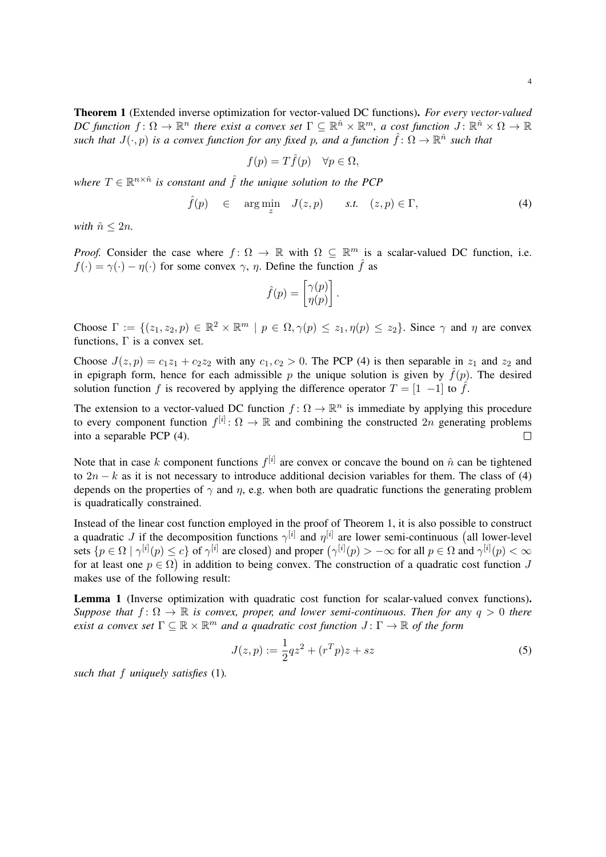Theorem 1 (Extended inverse optimization for vector-valued DC functions). *For every vector-valued DC* function  $f: \Omega \to \mathbb{R}^n$  there exist a convex set  $\Gamma \subseteq \mathbb{R}^{\hat{n}} \times \mathbb{R}^m$ , a cost function  $J: \mathbb{R}^{\hat{n}} \times \Omega \to \mathbb{R}$ *such that*  $J(\cdot, p)$  *is a convex function for any fixed p, and a function*  $\hat{f} : \Omega \to \mathbb{R}^{\hat{n}}$  *such that* 

$$
f(p) = T\hat{f}(p) \quad \forall p \in \Omega,
$$

where  $T \in \mathbb{R}^{n \times \hat{n}}$  is constant and  $\hat{f}$  the unique solution to the PCP

$$
\hat{f}(p) \in \arg\min_{z} J(z,p) \quad s.t. \quad (z,p) \in \Gamma,
$$
\n(4)

*with*  $\hat{n} \leq 2n$ *.* 

*Proof.* Consider the case where  $f: \Omega \to \mathbb{R}$  with  $\Omega \subseteq \mathbb{R}^m$  is a scalar-valued DC function, i.e.  $f(\cdot) = \gamma(\cdot) - \eta(\cdot)$  for some convex  $\gamma$ ,  $\eta$ . Define the function  $\hat{f}$  as

$$
\hat{f}(p) = \begin{bmatrix} \gamma(p) \\ \eta(p) \end{bmatrix}.
$$

Choose  $\Gamma := \{(z_1, z_2, p) \in \mathbb{R}^2 \times \mathbb{R}^m \mid p \in \Omega, \gamma(p) \leq z_1, \eta(p) \leq z_2\}$ . Since  $\gamma$  and  $\eta$  are convex functions,  $\Gamma$  is a convex set.

Choose  $J(z, p) = c_1z_1 + c_2z_2$  with any  $c_1, c_2 > 0$ . The PCP (4) is then separable in  $z_1$  and  $z_2$  and in epigraph form, hence for each admissible p the unique solution is given by  $\hat{f}(p)$ . The desired solution function f is recovered by applying the difference operator  $T = \begin{bmatrix} 1 & -1 \end{bmatrix}$  to  $\hat{f}$ .

The extension to a vector-valued DC function  $f: \Omega \to \mathbb{R}^n$  is immediate by applying this procedure to every component function  $f^{[i]} \colon \Omega \to \mathbb{R}$  and combining the constructed  $2n$  generating problems into a separable PCP (4).  $\Box$ 

Note that in case k component functions  $f^{[i]}$  are convex or concave the bound on  $\hat{n}$  can be tightened to  $2n - k$  as it is not necessary to introduce additional decision variables for them. The class of (4) depends on the properties of  $\gamma$  and  $\eta$ , e.g. when both are quadratic functions the generating problem is quadratically constrained.

Instead of the linear cost function employed in the proof of Theorem 1, it is also possible to construct a quadratic J if the decomposition functions  $\gamma^{[i]}$  and  $\eta^{[i]}$  are lower semi-continuous (all lower-level sets  $\{p \in \Omega \mid \gamma^{[i]}(p) \leq c\}$  of  $\gamma^{[i]}$  are closed) and proper  $(\gamma^{[i]}(p) > -\infty$  for all  $p \in \Omega$  and  $\gamma^{[i]}(p) < \infty$ for at least one  $p \in \Omega$ ) in addition to being convex. The construction of a quadratic cost function J makes use of the following result:

Lemma 1 (Inverse optimization with quadratic cost function for scalar-valued convex functions). *Suppose that*  $f: \Omega \to \mathbb{R}$  *is convex, proper, and lower semi-continuous. Then for any*  $q > 0$  *there exist a convex set*  $\Gamma \subseteq \mathbb{R} \times \mathbb{R}^m$  *and a quadratic cost function*  $J: \Gamma \to \mathbb{R}$  *of the form* 

$$
J(z,p) := \frac{1}{2}qz^2 + (r^T p)z + sz \tag{5}
$$

*such that* f *uniquely satisfies* (1)*.*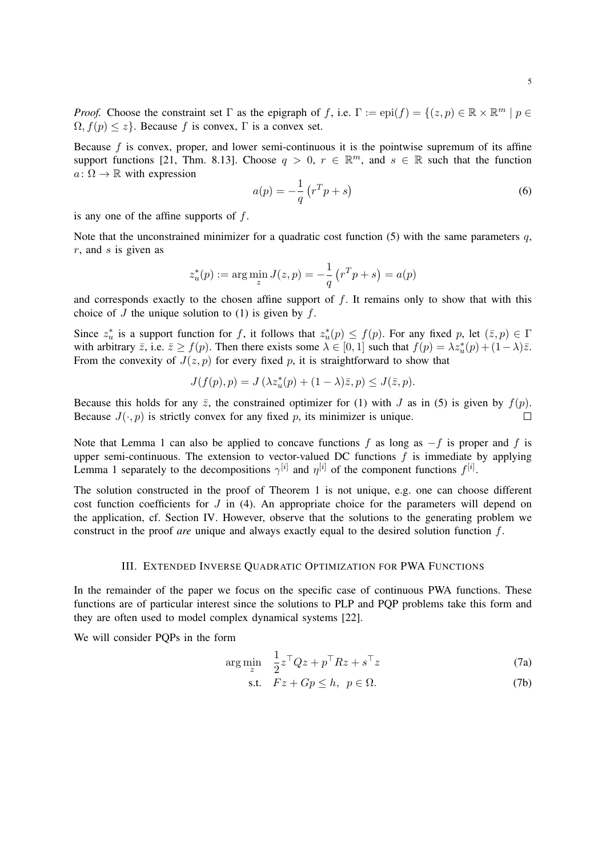*Proof.* Choose the constraint set  $\Gamma$  as the epigraph of f, i.e.  $\Gamma := epi(f) = \{(z, p) \in \mathbb{R} \times \mathbb{R}^m \mid p \in \mathbb{R} \}$  $\Omega$ ,  $f(p) \leq z$ . Because f is convex,  $\Gamma$  is a convex set.

Because  $f$  is convex, proper, and lower semi-continuous it is the pointwise supremum of its affine support functions [21, Thm. 8.13]. Choose  $q > 0$ ,  $r \in \mathbb{R}^m$ , and  $s \in \mathbb{R}$  such that the function  $a: \Omega \to \mathbb{R}$  with expression

$$
a(p) = -\frac{1}{q} \left( r^T p + s \right) \tag{6}
$$

is any one of the affine supports of  $f$ .

Note that the unconstrained minimizer for a quadratic cost function (5) with the same parameters  $q$ ,  $r$ , and  $s$  is given as

$$
z_u^*(p) := \arg\min_z J(z, p) = -\frac{1}{q} (r^T p + s) = a(p)
$$

and corresponds exactly to the chosen affine support of  $f$ . It remains only to show that with this choice of  $J$  the unique solution to (1) is given by  $f$ .

Since  $z_u^*$  is a support function for f, it follows that  $z_u^*(p) \le f(p)$ . For any fixed p, let  $(\bar{z}, p) \in \Gamma$ with arbitrary  $\bar{z}$ , i.e.  $\bar{z} \ge f(p)$ . Then there exists some  $\lambda \in [0,1]$  such that  $f(p) = \lambda z_u^*(p) + (1-\lambda)\bar{z}$ . From the convexity of  $J(z, p)$  for every fixed p, it is straightforward to show that

$$
J(f(p), p) = J(\lambda z_u^*(p) + (1 - \lambda)\overline{z}, p) \le J(\overline{z}, p).
$$

Because this holds for any  $\bar{z}$ , the constrained optimizer for (1) with J as in (5) is given by  $f(p)$ . Because  $J(\cdot, p)$  is strictly convex for any fixed p, its minimizer is unique.  $\Box$ 

Note that Lemma 1 can also be applied to concave functions f as long as  $-f$  is proper and f is upper semi-continuous. The extension to vector-valued DC functions  $f$  is immediate by applying Lemma 1 separately to the decompositions  $\gamma^{[i]}$  and  $\eta^{[i]}$  of the component functions  $f^{[i]}$ .

The solution constructed in the proof of Theorem 1 is not unique, e.g. one can choose different cost function coefficients for  $J$  in (4). An appropriate choice for the parameters will depend on the application, cf. Section IV. However, observe that the solutions to the generating problem we construct in the proof *are* unique and always exactly equal to the desired solution function f.

## III. EXTENDED INVERSE QUADRATIC OPTIMIZATION FOR PWA FUNCTIONS

In the remainder of the paper we focus on the specific case of continuous PWA functions. These functions are of particular interest since the solutions to PLP and PQP problems take this form and they are often used to model complex dynamical systems [22].

We will consider PQPs in the form

$$
\arg\min_{z} \quad \frac{1}{2}z^{\top}Qz + p^{\top}Rz + s^{\top}z \tag{7a}
$$

$$
\text{s.t.} \quad Fz + Gp \le h, \ \ p \in \Omega. \tag{7b}
$$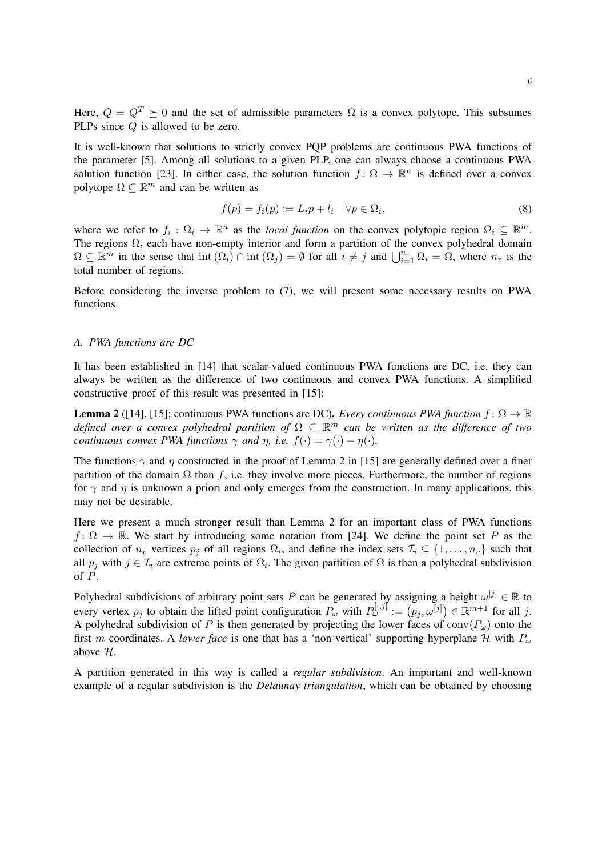Here,  $Q = Q^T \succeq 0$  and the set of admissible parameters  $\Omega$  is a convex polytope. This subsumes PLPs since Q is allowed to be zero.

It is well-known that solutions to strictly convex PQP problems are continuous PWA functions of the parameter [5]. Among all solutions to a given PLP, one can always choose a continuous PWA solution function [23]. In either case, the solution function  $f: \Omega \to \mathbb{R}^n$  is defined over a convex polytope  $\Omega \subseteq \mathbb{R}^m$  and can be written as

$$
f(p) = f_i(p) := L_i p + l_i \quad \forall p \in \Omega_i,
$$
\n
$$
(8)
$$

where we refer to  $f_i: \Omega_i \to \mathbb{R}^n$  as the *local function* on the convex polytopic region  $\Omega_i \subseteq \mathbb{R}^m$ . The regions  $\Omega_i$  each have non-empty interior and form a partition of the convex polyhedral domain  $\Omega \subseteq \mathbb{R}^m$  in the sense that  $\text{int}(\Omega_i) \cap \text{int}(\Omega_j) = \emptyset$  for all  $i \neq j$  and  $\bigcup_{i=1}^{n_r} \Omega_i = \Omega$ , where  $n_r$  is the total number of regions.

Before considering the inverse problem to (7), we will present some necessary results on PWA functions.

# *A. PWA functions are DC*

It has been established in [14] that scalar-valued continuous PWA functions are DC, i.e. they can always be written as the difference of two continuous and convex PWA functions. A simplified constructive proof of this result was presented in [15]:

**Lemma 2** ([14], [15]; continuous PWA functions are DC). *Every continuous PWA function*  $f: \Omega \to \mathbb{R}$ *defined over a convex polyhedral partition of* Ω ⊆ R <sup>m</sup> *can be written as the difference of two continuous convex PWA functions*  $\gamma$  *and*  $n$ , *i.e.*  $f(\cdot) = \gamma(\cdot) - \eta(\cdot)$ *.* 

The functions  $\gamma$  and  $\eta$  constructed in the proof of Lemma 2 in [15] are generally defined over a finer partition of the domain  $\Omega$  than f, i.e. they involve more pieces. Furthermore, the number of regions for  $\gamma$  and  $\eta$  is unknown a priori and only emerges from the construction. In many applications, this may not be desirable.

Here we present a much stronger result than Lemma 2 for an important class of PWA functions  $f: \Omega \to \mathbb{R}$ . We start by introducing some notation from [24]. We define the point set P as the collection of  $n_v$  vertices  $p_j$  of all regions  $\Omega_i$ , and define the index sets  $\mathcal{I}_i \subseteq \{1, \ldots, n_v\}$  such that all  $p_j$  with  $j \in \mathcal{I}_i$  are extreme points of  $\Omega_i$ . The given partition of  $\Omega$  is then a polyhedral subdivision of P.

Polyhedral subdivisions of arbitrary point sets P can be generated by assigning a height  $\omega^{[j]} \in \mathbb{R}$  to every vertex  $p_j$  to obtain the lifted point configuration  $P_\omega$  with  $P_\omega^{[:,j]} := (p_j, \omega^{[j]}) \in \mathbb{R}^{m+1}$  for all j. A polyhedral subdivision of P is then generated by projecting the lower faces of  $conv(P_\omega)$  onto the first m coordinates. A *lower face* is one that has a 'non-vertical' supporting hyperplane H with  $P_{\omega}$ above H.

A partition generated in this way is called a *regular subdivision*. An important and well-known example of a regular subdivision is the *Delaunay triangulation*, which can be obtained by choosing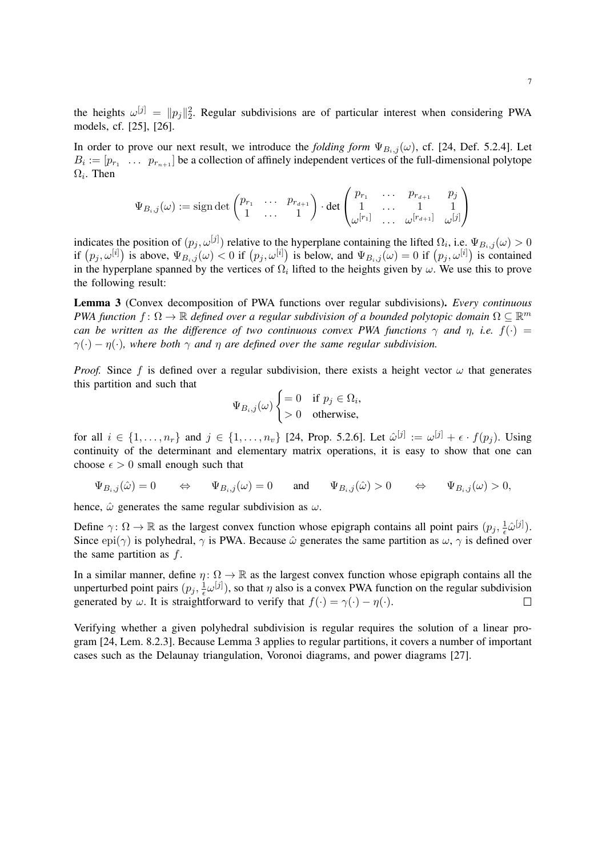the heights  $\omega^{[j]} = ||p_j||_2^2$ . Regular subdivisions are of particular interest when considering PWA models, cf. [25], [26].

In order to prove our next result, we introduce the *folding form*  $\Psi_{B_i,j}(\omega)$ , cf. [24, Def. 5.2.4]. Let  $B_i := [p_{r_1} \dots p_{r_{n+1}}]$  be a collection of affinely independent vertices of the full-dimensional polytope  $\Omega_i$ . Then

$$
\Psi_{B_i,j}(\omega) := \operatorname{sign} \det \begin{pmatrix} p_{r_1} & \cdots & p_{r_{d+1}} \\ 1 & \cdots & 1 \end{pmatrix} \cdot \det \begin{pmatrix} p_{r_1} & \cdots & p_{r_{d+1}} & p_j \\ 1 & \cdots & 1 & 1 \\ \omega^{[r_1]} & \cdots & \omega^{[r_{d+1}]} & \omega^{[j]} \end{pmatrix}
$$

indicates the position of  $(p_j, \omega^{[j]})$  relative to the hyperplane containing the lifted  $\Omega_i$ , i.e.  $\Psi_{B_i,j}(\omega) > 0$ if  $(p_j, \omega^{[i]})$  is above,  $\Psi_{B_i,j}(\omega) < 0$  if  $(p_j, \omega^{[i]})$  is below, and  $\Psi_{B_i,j}(\omega) = 0$  if  $(p_j, \omega^{[i]})$  is contained in the hyperplane spanned by the vertices of  $\Omega_i$  lifted to the heights given by  $\omega$ . We use this to prove the following result:

Lemma 3 (Convex decomposition of PWA functions over regular subdivisions). *Every continuous PWA function*  $f : \Omega \to \mathbb{R}$  *defined over a regular subdivision of a bounded polytopic domain*  $\Omega \subseteq \mathbb{R}^m$ *can be written as the difference of two continuous convex PWA functions*  $\gamma$  *and*  $\eta$ *, i.e.*  $f(\cdot)$  =  $\gamma(\cdot) - \eta(\cdot)$ , where both  $\gamma$  and  $\eta$  are defined over the same regular subdivision.

*Proof.* Since f is defined over a regular subdivision, there exists a height vector  $\omega$  that generates this partition and such that

$$
\Psi_{B_i,j}(\omega) \begin{cases} = 0 & \text{if } p_j \in \Omega_i, \\ > 0 & \text{otherwise,} \end{cases}
$$

for all  $i \in \{1, \ldots, n_r\}$  and  $j \in \{1, \ldots, n_v\}$  [24, Prop. 5.2.6]. Let  $\hat{\omega}^{[j]} := \omega^{[j]} + \epsilon \cdot f(p_j)$ . Using continuity of the determinant and elementary matrix operations, it is easy to show that one can choose  $\epsilon > 0$  small enough such that

$$
\Psi_{B_i,j}(\hat{\omega})=0 \qquad \Leftrightarrow \qquad \Psi_{B_i,j}(\omega)=0 \qquad \text{and} \qquad \Psi_{B_i,j}(\hat{\omega})>0 \qquad \Leftrightarrow \qquad \Psi_{B_i,j}(\omega)>0,
$$

hence,  $\hat{\omega}$  generates the same regular subdivision as  $\omega$ .

Define  $\gamma: \Omega \to \mathbb{R}$  as the largest convex function whose epigraph contains all point pairs  $(p_j, \frac{1}{\epsilon})$  $\frac{1}{\epsilon} \hat{\omega}^{[j]}$ ). Since epi( $\gamma$ ) is polyhedral,  $\gamma$  is PWA. Because  $\hat{\omega}$  generates the same partition as  $\omega$ ,  $\gamma$  is defined over the same partition as  $f$ .

In a similar manner, define  $\eta: \Omega \to \mathbb{R}$  as the largest convex function whose epigraph contains all the unperturbed point pairs  $(p_j, \frac{1}{\epsilon})$  $\frac{1}{\epsilon} \omega^{[j]}$ , so that  $\eta$  also is a convex PWA function on the regular subdivision generated by  $\omega$ . It is straightforward to verify that  $f(\cdot) = \gamma(\cdot) - \eta(\cdot)$ .  $\Box$ 

Verifying whether a given polyhedral subdivision is regular requires the solution of a linear program [24, Lem. 8.2.3]. Because Lemma 3 applies to regular partitions, it covers a number of important cases such as the Delaunay triangulation, Voronoi diagrams, and power diagrams [27].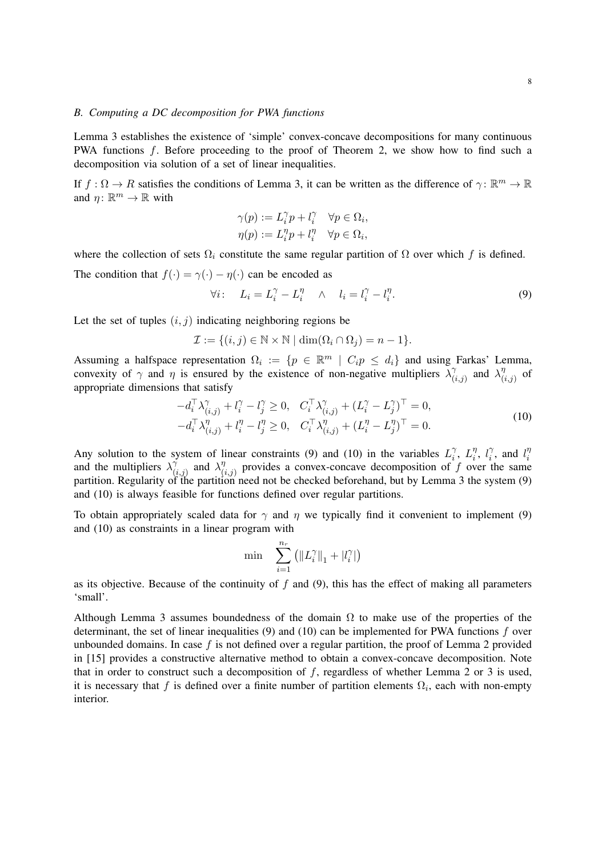#### *B. Computing a DC decomposition for PWA functions*

Lemma 3 establishes the existence of 'simple' convex-concave decompositions for many continuous PWA functions f. Before proceeding to the proof of Theorem 2, we show how to find such a decomposition via solution of a set of linear inequalities.

If  $f: \Omega \to R$  satisfies the conditions of Lemma 3, it can be written as the difference of  $\gamma: \mathbb{R}^m \to \mathbb{R}$ and  $\eta \colon \mathbb{R}^m \to \mathbb{R}$  with

$$
\gamma(p) := L_i^{\gamma} p + l_i^{\gamma} \quad \forall p \in \Omega_i,
$$
  

$$
\eta(p) := L_i^{\eta} p + l_i^{\eta} \quad \forall p \in \Omega_i,
$$

where the collection of sets  $\Omega_i$  constitute the same regular partition of  $\Omega$  over which f is defined.

The condition that  $f(\cdot) = \gamma(\cdot) - \eta(\cdot)$  can be encoded as

$$
\forall i: \quad L_i = L_i^{\gamma} - L_i^{\eta} \quad \wedge \quad l_i = l_i^{\gamma} - l_i^{\eta}.\tag{9}
$$

Let the set of tuples  $(i, j)$  indicating neighboring regions be

$$
\mathcal{I} := \{ (i, j) \in \mathbb{N} \times \mathbb{N} \mid \dim(\Omega_i \cap \Omega_j) = n - 1 \}.
$$

Assuming a halfspace representation  $\Omega_i := \{ p \in \mathbb{R}^m \mid C_i p \leq d_i \}$  and using Farkas' Lemma, convexity of  $\gamma$  and  $\eta$  is ensured by the existence of non-negative multipliers  $\lambda_i^{\gamma}$  $\chi^{\gamma}_{(i,j)}$  and  $\lambda^{\eta}_{(i)}$  $\begin{array}{c}\n\eta \\
(i,j)\n\end{array}$ of appropriate dimensions that satisfy

$$
-d_i^{\top} \lambda_{(i,j)}^{\gamma} + l_i^{\gamma} - l_j^{\gamma} \ge 0, \quad C_i^{\top} \lambda_{(i,j)}^{\gamma} + (L_i^{\gamma} - L_j^{\gamma})^{\top} = 0, -d_i^{\top} \lambda_{(i,j)}^{\eta} + l_i^{\eta} - l_j^{\eta} \ge 0, \quad C_i^{\top} \lambda_{(i,j)}^{\eta} + (L_i^{\eta} - L_j^{\eta})^{\top} = 0.
$$
 (10)

Any solution to the system of linear constraints (9) and (10) in the variables  $L_i^{\gamma}$  $\tilde{i}$ ,  $L_i^{\eta}$  $\eta_i$ ,  $l_i^{\gamma}$  $l_i^{\gamma}$ , and  $l_i^{\eta}$ i and the multipliers  $\lambda_i^{\gamma}$  $\check{\gamma}_{(i,j)}$  and  $\lambda_{(i)}^{\eta}$  $\gamma_{(i,j)}^{\eta}$  provides a convex-concave decomposition of f over the same partition. Regularity of the partition need not be checked beforehand, but by Lemma 3 the system (9) and (10) is always feasible for functions defined over regular partitions.

To obtain appropriately scaled data for  $\gamma$  and  $\eta$  we typically find it convenient to implement (9) and (10) as constraints in a linear program with

$$
\min \quad \sum_{i=1}^{n_r} \left( \|L_i^{\gamma}\|_1 + |l_i^{\gamma}|\right)
$$

as its objective. Because of the continuity of  $f$  and  $(9)$ , this has the effect of making all parameters 'small'.

Although Lemma 3 assumes boundedness of the domain  $\Omega$  to make use of the properties of the determinant, the set of linear inequalities (9) and (10) can be implemented for PWA functions  $f$  over unbounded domains. In case  $f$  is not defined over a regular partition, the proof of Lemma 2 provided in [15] provides a constructive alternative method to obtain a convex-concave decomposition. Note that in order to construct such a decomposition of  $f$ , regardless of whether Lemma 2 or 3 is used, it is necessary that f is defined over a finite number of partition elements  $\Omega_i$ , each with non-empty interior.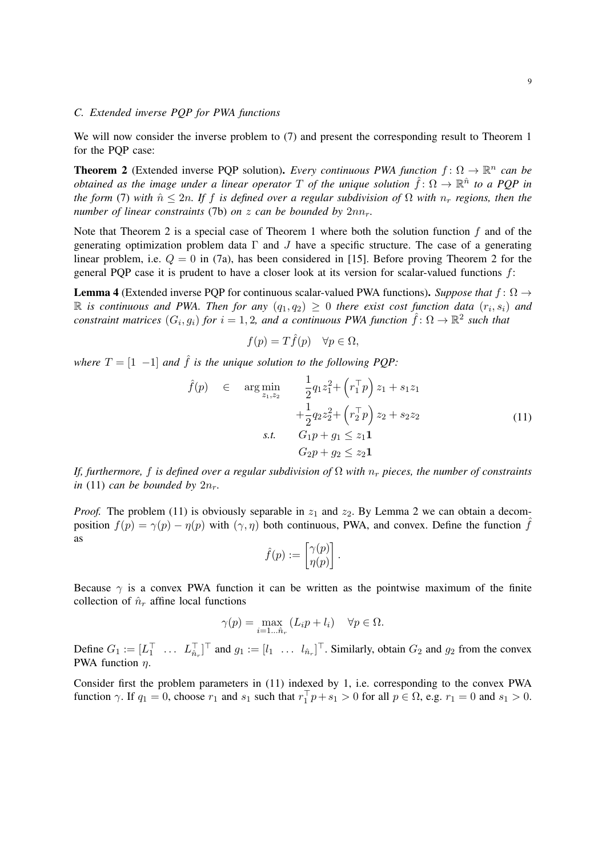## *C. Extended inverse PQP for PWA functions*

We will now consider the inverse problem to (7) and present the corresponding result to Theorem 1 for the PQP case:

**Theorem 2** (Extended inverse PQP solution). *Every continuous PWA function*  $f: \Omega \to \mathbb{R}^n$  can be *obtained as the image under a linear operator* T *of the unique solution*  $\hat{f} \colon \Omega \to \mathbb{R}^{\hat{n}}$  to a PQP in *the form* (7) *with*  $\hat{n} \leq 2n$ . If f *is defined over a regular subdivision of*  $\Omega$  *with*  $n_r$  *regions, then the number of linear constraints* (7b) *on*  $z$  *can be bounded by*  $2nn_r$ *.* 

Note that Theorem 2 is a special case of Theorem 1 where both the solution function  $f$  and of the generating optimization problem data  $\Gamma$  and J have a specific structure. The case of a generating linear problem, i.e.  $Q = 0$  in (7a), has been considered in [15]. Before proving Theorem 2 for the general PQP case it is prudent to have a closer look at its version for scalar-valued functions  $f$ :

**Lemma 4** (Extended inverse PQP for continuous scalar-valued PWA functions). *Suppose that*  $f : \Omega \rightarrow$  $\mathbb R$  is continuous and PWA. Then for any  $(q_1, q_2) \geq 0$  there exist cost function data  $(r_i, s_i)$  and *constraint matrices*  $(G_i, g_i)$  *for*  $i = 1, 2$ *, and a continuous PWA function*  $\hat{f} \colon \Omega \to \mathbb{R}^2$  *such that* 

$$
f(p) = T\hat{f}(p) \quad \forall p \in \Omega,
$$

*where*  $T = \begin{bmatrix} 1 & -1 \end{bmatrix}$  *and*  $\hat{f}$  *is the unique solution to the following PQP:* 

$$
\hat{f}(p) \in \arg\min_{z_1, z_2} \frac{1}{2} q_1 z_1^2 + \left(r_1^\top p\right) z_1 + s_1 z_1 \n+ \frac{1}{2} q_2 z_2^2 + \left(r_2^\top p\right) z_2 + s_2 z_2 \ns.t. \quad G_1 p + g_1 \le z_1 \mathbf{1} \nG_2 p + g_2 \le z_2 \mathbf{1}
$$
\n(11)

*If, furthermore, f is defined over a regular subdivision of*  $\Omega$  *with*  $n_r$  pieces, the number of constraints *in* (11) *can be bounded by*  $2n_r$ .

*Proof.* The problem (11) is obviously separable in  $z_1$  and  $z_2$ . By Lemma 2 we can obtain a decomposition  $f(p) = \gamma(p) - \eta(p)$  with  $(\gamma, \eta)$  both continuous, PWA, and convex. Define the function  $\hat{f}$ as

$$
\hat{f}(p) := \begin{bmatrix} \gamma(p) \\ \eta(p) \end{bmatrix}.
$$

Because  $\gamma$  is a convex PWA function it can be written as the pointwise maximum of the finite collection of  $\hat{n}_r$  affine local functions

$$
\gamma(p) = \max_{i=1... \hat{n}_r} (L_i p + l_i) \quad \forall p \in \Omega.
$$

Define  $G_1 := [L_1^\top \dots L_{\hat{n}_r}^\top]^\top$  and  $g_1 := [l_1 \dots l_{\hat{n}_r}]^\top$ . Similarly, obtain  $G_2$  and  $g_2$  from the convex PWA function  $\eta$ .

Consider first the problem parameters in (11) indexed by 1, i.e. corresponding to the convex PWA function  $\gamma$ . If  $q_1 = 0$ , choose  $r_1$  and  $s_1$  such that  $r_1^{\top} p + s_1 > 0$  for all  $p \in \Omega$ , e.g.  $r_1 = 0$  and  $s_1 > 0$ .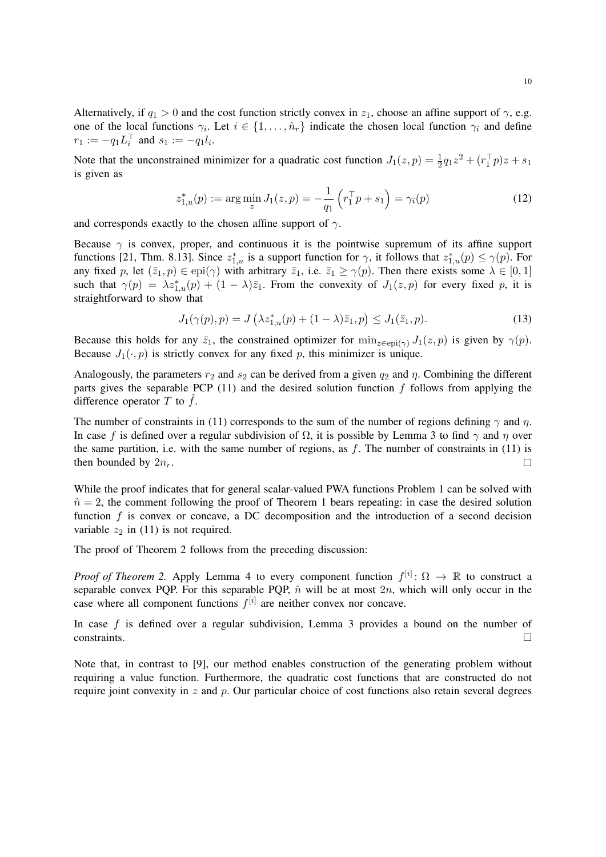Alternatively, if  $q_1 > 0$  and the cost function strictly convex in  $z_1$ , choose an affine support of  $\gamma$ , e.g. one of the local functions  $\gamma_i$ . Let  $i \in \{1, \ldots, \hat{n}_r\}$  indicate the chosen local function  $\gamma_i$  and define  $r_1 := -q_1 L_i^{\top}$  and  $s_1 := -q_1 l_i$ .

Note that the unconstrained minimizer for a quadratic cost function  $J_1(z,p) = \frac{1}{2}q_1z^2 + (r_1^Tp)z + s_1$ is given as

$$
z_{1,u}^*(p) := \arg\min_{z} J_1(z,p) = -\frac{1}{q_1} \left( r_1^\top p + s_1 \right) = \gamma_i(p) \tag{12}
$$

and corresponds exactly to the chosen affine support of  $\gamma$ .

Because  $\gamma$  is convex, proper, and continuous it is the pointwise supremum of its affine support functions [21, Thm. 8.13]. Since  $z_{1,u}^*$  is a support function for  $\gamma$ , it follows that  $z_{1,u}^*(p) \le \gamma(p)$ . For any fixed p, let  $(\bar{z}_1, p) \in \text{epi}(\gamma)$  with arbitrary  $\bar{z}_1$ , i.e.  $\bar{z}_1 \geq \gamma(p)$ . Then there exists some  $\lambda \in [0, 1]$ such that  $\gamma(p) = \lambda z_{1,u}^*(p) + (1 - \lambda) \overline{z}_1$ . From the convexity of  $J_1(z,p)$  for every fixed p, it is straightforward to show that

$$
J_1(\gamma(p), p) = J\left(\lambda z_{1,u}^*(p) + (1-\lambda)\bar{z}_1, p\right) \le J_1(\bar{z}_1, p). \tag{13}
$$

Because this holds for any  $\bar{z}_1$ , the constrained optimizer for  $\min_{z \in \text{epi}(\gamma)} J_1(z, p)$  is given by  $\gamma(p)$ . Because  $J_1(\cdot, p)$  is strictly convex for any fixed p, this minimizer is unique.

Analogously, the parameters  $r_2$  and  $s_2$  can be derived from a given  $q_2$  and  $\eta$ . Combining the different parts gives the separable PCP  $(11)$  and the desired solution function f follows from applying the difference operator T to  $\hat{f}$ .

The number of constraints in (11) corresponds to the sum of the number of regions defining  $\gamma$  and  $\eta$ . In case f is defined over a regular subdivision of  $\Omega$ , it is possible by Lemma 3 to find  $\gamma$  and  $\eta$  over the same partition, i.e. with the same number of regions, as  $f$ . The number of constraints in (11) is then bounded by  $2n_r$ .  $\Box$ 

While the proof indicates that for general scalar-valued PWA functions Problem 1 can be solved with  $n̄ = 2$ , the comment following the proof of Theorem 1 bears repeating: in case the desired solution function  $f$  is convex or concave, a DC decomposition and the introduction of a second decision variable  $z_2$  in (11) is not required.

The proof of Theorem 2 follows from the preceding discussion:

*Proof of Theorem 2.* Apply Lemma 4 to every component function  $f^{[i]} \colon \Omega \to \mathbb{R}$  to construct a separable convex PQP. For this separable PQP,  $\hat{n}$  will be at most  $2n$ , which will only occur in the case where all component functions  $f^{[i]}$  are neither convex nor concave.

In case f is defined over a regular subdivision, Lemma 3 provides a bound on the number of constraints.  $\Box$ 

Note that, in contrast to [9], our method enables construction of the generating problem without requiring a value function. Furthermore, the quadratic cost functions that are constructed do not require joint convexity in  $z$  and  $p$ . Our particular choice of cost functions also retain several degrees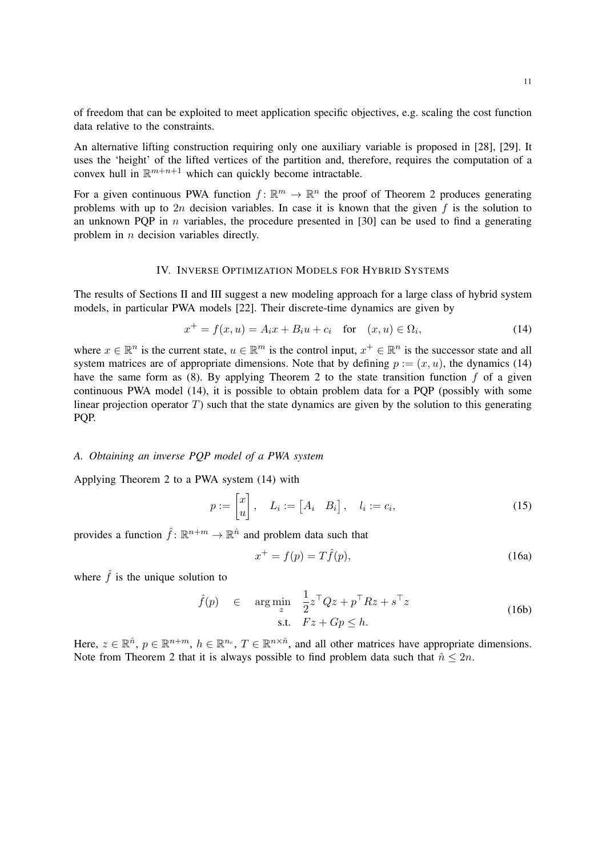of freedom that can be exploited to meet application specific objectives, e.g. scaling the cost function data relative to the constraints.

An alternative lifting construction requiring only one auxiliary variable is proposed in [28], [29]. It uses the 'height' of the lifted vertices of the partition and, therefore, requires the computation of a convex hull in  $\mathbb{R}^{m+n+1}$  which can quickly become intractable.

For a given continuous PWA function  $f: \mathbb{R}^m \to \mathbb{R}^n$  the proof of Theorem 2 produces generating problems with up to  $2n$  decision variables. In case it is known that the given f is the solution to an unknown PQP in  $n$  variables, the procedure presented in [30] can be used to find a generating problem in *n* decision variables directly.

#### IV. INVERSE OPTIMIZATION MODELS FOR HYBRID SYSTEMS

The results of Sections II and III suggest a new modeling approach for a large class of hybrid system models, in particular PWA models [22]. Their discrete-time dynamics are given by

$$
x^{+} = f(x, u) = A_i x + B_i u + c_i \quad \text{for} \quad (x, u) \in \Omega_i,
$$
\n(14)

where  $x \in \mathbb{R}^n$  is the current state,  $u \in \mathbb{R}^m$  is the control input,  $x^+ \in \mathbb{R}^n$  is the successor state and all system matrices are of appropriate dimensions. Note that by defining  $p := (x, u)$ , the dynamics (14) have the same form as (8). By applying Theorem 2 to the state transition function  $f$  of a given continuous PWA model (14), it is possible to obtain problem data for a PQP (possibly with some linear projection operator  $T$ ) such that the state dynamics are given by the solution to this generating PQP.

# *A. Obtaining an inverse PQP model of a PWA system*

Applying Theorem 2 to a PWA system (14) with

$$
p := \begin{bmatrix} x \\ u \end{bmatrix}, \quad L_i := \begin{bmatrix} A_i & B_i \end{bmatrix}, \quad l_i := c_i,\tag{15}
$$

provides a function  $\hat{f}$ :  $\mathbb{R}^{n+m} \to \mathbb{R}^{\hat{n}}$  and problem data such that

$$
x^{+} = f(p) = T\hat{f}(p),\tag{16a}
$$

where  $\hat{f}$  is the unique solution to

$$
\hat{f}(p) \in \arg\min_{z} \frac{1}{2} z^{\top} Q z + p^{\top} R z + s^{\top} z
$$
\n
$$
\text{s.t.} \quad Fz + Gp \le h. \tag{16b}
$$

Here,  $z \in \mathbb{R}^{\hat{n}}$ ,  $p \in \mathbb{R}^{n+m}$ ,  $h \in \mathbb{R}^{n_c}$ ,  $T \in \mathbb{R}^{n \times \hat{n}}$ , and all other matrices have appropriate dimensions. Note from Theorem 2 that it is always possible to find problem data such that  $\hat{n} \leq 2n$ .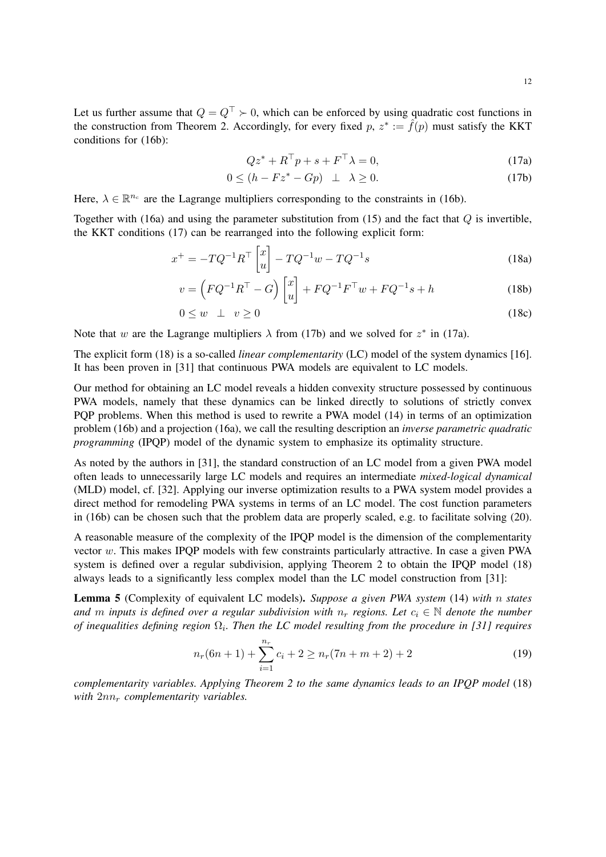Let us further assume that  $Q = Q^{\top} \succ 0$ , which can be enforced by using quadratic cost functions in the construction from Theorem 2. Accordingly, for every fixed  $p, z^* := \hat{f}(p)$  must satisfy the KKT conditions for (16b):

$$
Qz^* + R^\top p + s + F^\top \lambda = 0,\tag{17a}
$$

$$
0 \le (h - Fz^* - Gp) \quad \perp \quad \lambda \ge 0. \tag{17b}
$$

Here,  $\lambda \in \mathbb{R}^{n_c}$  are the Lagrange multipliers corresponding to the constraints in (16b).

Together with (16a) and using the parameter substitution from (15) and the fact that  $Q$  is invertible, the KKT conditions (17) can be rearranged into the following explicit form:

$$
x^{+} = -TQ^{-1}R^{\top} \begin{bmatrix} x \\ u \end{bmatrix} - TQ^{-1}w - TQ^{-1}s \tag{18a}
$$

$$
v = \left(FQ^{-1}R^{\top} - G\right)\begin{bmatrix} x \\ u \end{bmatrix} + FQ^{-1}F^{\top}w + FQ^{-1}s + h \tag{18b}
$$

$$
0 \le w \quad \perp \quad v \ge 0 \tag{18c}
$$

Note that w are the Lagrange multipliers  $\lambda$  from (17b) and we solved for  $z^*$  in (17a).

The explicit form (18) is a so-called *linear complementarity* (LC) model of the system dynamics [16]. It has been proven in [31] that continuous PWA models are equivalent to LC models.

Our method for obtaining an LC model reveals a hidden convexity structure possessed by continuous PWA models, namely that these dynamics can be linked directly to solutions of strictly convex PQP problems. When this method is used to rewrite a PWA model (14) in terms of an optimization problem (16b) and a projection (16a), we call the resulting description an *inverse parametric quadratic programming* (IPQP) model of the dynamic system to emphasize its optimality structure.

As noted by the authors in [31], the standard construction of an LC model from a given PWA model often leads to unnecessarily large LC models and requires an intermediate *mixed-logical dynamical* (MLD) model, cf. [32]. Applying our inverse optimization results to a PWA system model provides a direct method for remodeling PWA systems in terms of an LC model. The cost function parameters in (16b) can be chosen such that the problem data are properly scaled, e.g. to facilitate solving (20).

A reasonable measure of the complexity of the IPQP model is the dimension of the complementarity vector w. This makes IPQP models with few constraints particularly attractive. In case a given PWA system is defined over a regular subdivision, applying Theorem 2 to obtain the IPQP model (18) always leads to a significantly less complex model than the LC model construction from [31]:

Lemma 5 (Complexity of equivalent LC models). *Suppose a given PWA system* (14) *with* n *states and* m *inputs* is defined over a regular subdivision with  $n_r$  regions. Let  $c_i \in \mathbb{N}$  denote the number *of inequalities defining region*  $\Omega_i$ . Then the LC model resulting from the procedure in [31] requires

$$
n_r(6n+1) + \sum_{i=1}^{n_r} c_i + 2 \ge n_r(7n+m+2) + 2
$$
 (19)

*complementarity variables. Applying Theorem 2 to the same dynamics leads to an IPQP model* (18) *with*  $2nn_r$  *complementarity variables.*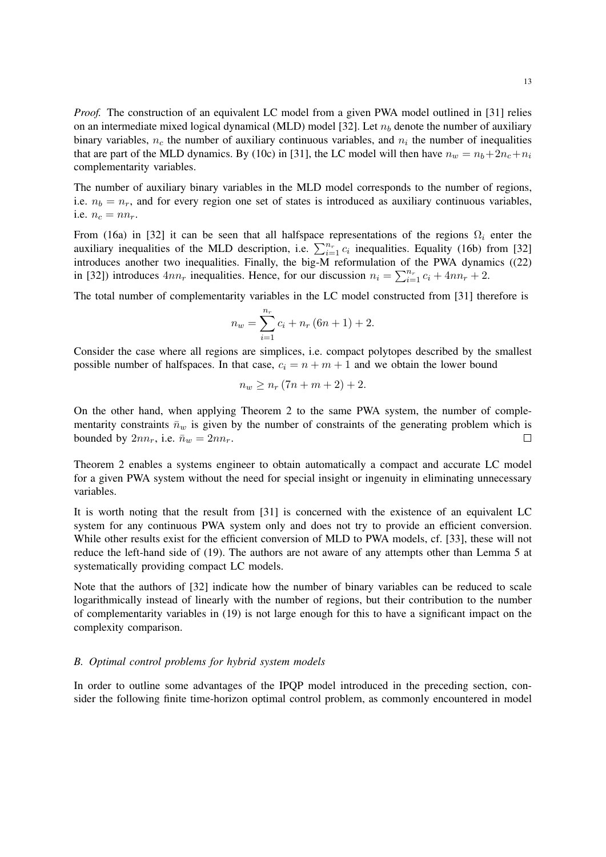*Proof.* The construction of an equivalent LC model from a given PWA model outlined in [31] relies on an intermediate mixed logical dynamical (MLD) model [32]. Let  $n<sub>b</sub>$  denote the number of auxiliary binary variables,  $n_c$  the number of auxiliary continuous variables, and  $n_i$  the number of inequalities that are part of the MLD dynamics. By (10c) in [31], the LC model will then have  $n_w = n_b + 2n_c + n_i$ complementarity variables.

The number of auxiliary binary variables in the MLD model corresponds to the number of regions, i.e.  $n_b = n_r$ , and for every region one set of states is introduced as auxiliary continuous variables, i.e.  $n_c = nn_r$ .

From (16a) in [32] it can be seen that all halfspace representations of the regions  $\Omega_i$  enter the auxiliary inequalities of the MLD description, i.e.  $\sum_{i=1}^{n_r} c_i$  inequalities. Equality (16b) from [32] introduces another two inequalities. Finally, the big-M reformulation of the PWA dynamics ((22) in [32]) introduces  $4nn_r$  inequalities. Hence, for our discussion  $n_i = \sum_{i=1}^{n_r} c_i + 4nn_r + 2$ .

The total number of complementarity variables in the LC model constructed from [31] therefore is

$$
n_w = \sum_{i=1}^{n_r} c_i + n_r (6n + 1) + 2.
$$

Consider the case where all regions are simplices, i.e. compact polytopes described by the smallest possible number of halfspaces. In that case,  $c_i = n + m + 1$  and we obtain the lower bound

$$
n_w \ge n_r (7n+m+2)+2.
$$

On the other hand, when applying Theorem 2 to the same PWA system, the number of complementarity constraints  $\bar{n}_w$  is given by the number of constraints of the generating problem which is bounded by  $2nn_r$ , i.e.  $\bar{n}_w = 2nn_r$ .  $\Box$ 

Theorem 2 enables a systems engineer to obtain automatically a compact and accurate LC model for a given PWA system without the need for special insight or ingenuity in eliminating unnecessary variables.

It is worth noting that the result from [31] is concerned with the existence of an equivalent LC system for any continuous PWA system only and does not try to provide an efficient conversion. While other results exist for the efficient conversion of MLD to PWA models, cf. [33], these will not reduce the left-hand side of (19). The authors are not aware of any attempts other than Lemma 5 at systematically providing compact LC models.

Note that the authors of [32] indicate how the number of binary variables can be reduced to scale logarithmically instead of linearly with the number of regions, but their contribution to the number of complementarity variables in (19) is not large enough for this to have a significant impact on the complexity comparison.

# *B. Optimal control problems for hybrid system models*

In order to outline some advantages of the IPQP model introduced in the preceding section, consider the following finite time-horizon optimal control problem, as commonly encountered in model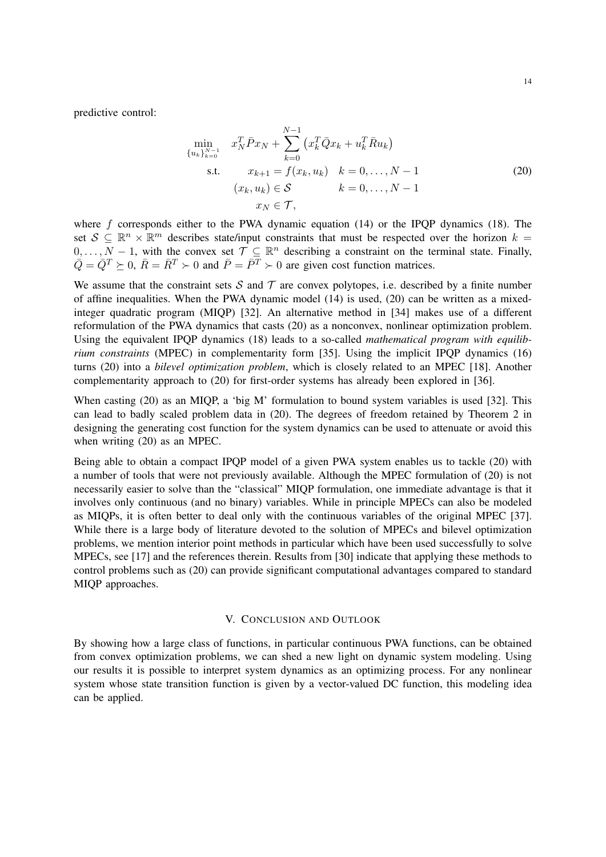predictive control:

$$
\min_{\{u_k\}_{k=0}^{N-1}} x_N^T \bar{P} x_N + \sum_{k=0}^{N-1} (x_k^T \bar{Q} x_k + u_k^T \bar{R} u_k)
$$
\ns.t.  $x_{k+1} = f(x_k, u_k) \quad k = 0, ..., N-1$   
\n $(x_k, u_k) \in S \qquad k = 0, ..., N-1$   
\n $x_N \in T,$ \n(20)

where  $f$  corresponds either to the PWA dynamic equation (14) or the IPQP dynamics (18). The set  $S \subseteq \mathbb{R}^n \times \mathbb{R}^m$  describes state/input constraints that must be respected over the horizon  $k =$  $0, \ldots, N-1$ , with the convex set  $\mathcal{T} \subseteq \mathbb{R}^n$  describing a constraint on the terminal state. Finally,  $\overline{Q} = \overline{Q}^T \succeq 0$ ,  $\overline{R} = \overline{R}^T \succ 0$  and  $\overline{P} = \overline{P}^T \succ 0$  are given cost function matrices.

We assume that the constraint sets  $S$  and  $T$  are convex polytopes, i.e. described by a finite number of affine inequalities. When the PWA dynamic model (14) is used, (20) can be written as a mixedinteger quadratic program (MIQP) [32]. An alternative method in [34] makes use of a different reformulation of the PWA dynamics that casts (20) as a nonconvex, nonlinear optimization problem. Using the equivalent IPQP dynamics (18) leads to a so-called *mathematical program with equilibrium constraints* (MPEC) in complementarity form [35]. Using the implicit IPQP dynamics (16) turns (20) into a *bilevel optimization problem*, which is closely related to an MPEC [18]. Another complementarity approach to (20) for first-order systems has already been explored in [36].

When casting (20) as an MIQP, a 'big M' formulation to bound system variables is used [32]. This can lead to badly scaled problem data in (20). The degrees of freedom retained by Theorem 2 in designing the generating cost function for the system dynamics can be used to attenuate or avoid this when writing (20) as an MPEC.

Being able to obtain a compact IPQP model of a given PWA system enables us to tackle (20) with a number of tools that were not previously available. Although the MPEC formulation of (20) is not necessarily easier to solve than the "classical" MIQP formulation, one immediate advantage is that it involves only continuous (and no binary) variables. While in principle MPECs can also be modeled as MIQPs, it is often better to deal only with the continuous variables of the original MPEC [37]. While there is a large body of literature devoted to the solution of MPECs and bilevel optimization problems, we mention interior point methods in particular which have been used successfully to solve MPECs, see [17] and the references therein. Results from [30] indicate that applying these methods to control problems such as (20) can provide significant computational advantages compared to standard MIQP approaches.

## V. CONCLUSION AND OUTLOOK

By showing how a large class of functions, in particular continuous PWA functions, can be obtained from convex optimization problems, we can shed a new light on dynamic system modeling. Using our results it is possible to interpret system dynamics as an optimizing process. For any nonlinear system whose state transition function is given by a vector-valued DC function, this modeling idea can be applied.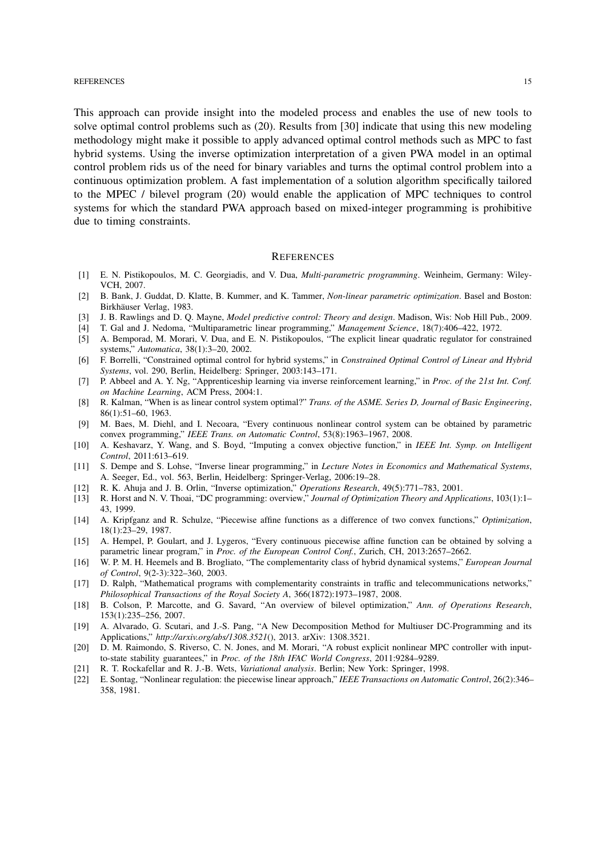#### REFERENCES 15

This approach can provide insight into the modeled process and enables the use of new tools to solve optimal control problems such as (20). Results from [30] indicate that using this new modeling methodology might make it possible to apply advanced optimal control methods such as MPC to fast hybrid systems. Using the inverse optimization interpretation of a given PWA model in an optimal control problem rids us of the need for binary variables and turns the optimal control problem into a continuous optimization problem. A fast implementation of a solution algorithm specifically tailored to the MPEC / bilevel program (20) would enable the application of MPC techniques to control systems for which the standard PWA approach based on mixed-integer programming is prohibitive due to timing constraints.

#### **REFERENCES**

- [1] E. N. Pistikopoulos, M. C. Georgiadis, and V. Dua, *Multi-parametric programming*. Weinheim, Germany: Wiley-VCH, 2007.
- [2] B. Bank, J. Guddat, D. Klatte, B. Kummer, and K. Tammer, *Non-linear parametric optimization*. Basel and Boston: Birkhäuser Verlag, 1983.
- [3] J. B. Rawlings and D. Q. Mayne, *Model predictive control: Theory and design*. Madison, Wis: Nob Hill Pub., 2009.
- [4] T. Gal and J. Nedoma, "Multiparametric linear programming," *Management Science*, 18(7):406–422, 1972.
- [5] A. Bemporad, M. Morari, V. Dua, and E. N. Pistikopoulos, "The explicit linear quadratic regulator for constrained systems," *Automatica*, 38(1):3–20, 2002.
- [6] F. Borrelli, "Constrained optimal control for hybrid systems," in *Constrained Optimal Control of Linear and Hybrid Systems*, vol. 290, Berlin, Heidelberg: Springer, 2003:143–171.
- [7] P. Abbeel and A. Y. Ng, "Apprenticeship learning via inverse reinforcement learning," in *Proc. of the 21st Int. Conf. on Machine Learning*, ACM Press, 2004:1.
- [8] R. Kalman, "When is as linear control system optimal?" *Trans. of the ASME. Series D, Journal of Basic Engineering*, 86(1):51–60, 1963.
- [9] M. Baes, M. Diehl, and I. Necoara, "Every continuous nonlinear control system can be obtained by parametric convex programming," *IEEE Trans. on Automatic Control*, 53(8):1963–1967, 2008.
- [10] A. Keshavarz, Y. Wang, and S. Boyd, "Imputing a convex objective function," in *IEEE Int. Symp. on Intelligent Control*, 2011:613–619.
- [11] S. Dempe and S. Lohse, "Inverse linear programming," in *Lecture Notes in Economics and Mathematical Systems*, A. Seeger, Ed., vol. 563, Berlin, Heidelberg: Springer-Verlag, 2006:19–28.
- [12] R. K. Ahuja and J. B. Orlin, "Inverse optimization," *Operations Research*, 49(5):771–783, 2001.
- [13] R. Horst and N. V. Thoai, "DC programming: overview," *Journal of Optimization Theory and Applications*, 103(1):1– 43, 1999.
- [14] A. Kripfganz and R. Schulze, "Piecewise affine functions as a difference of two convex functions," *Optimization*, 18(1):23–29, 1987.
- [15] A. Hempel, P. Goulart, and J. Lygeros, "Every continuous piecewise affine function can be obtained by solving a parametric linear program," in *Proc. of the European Control Conf.*, Zurich, CH, 2013:2657–2662.
- [16] W. P. M. H. Heemels and B. Brogliato, "The complementarity class of hybrid dynamical systems," *European Journal of Control*, 9(2-3):322–360, 2003.
- [17] D. Ralph, "Mathematical programs with complementarity constraints in traffic and telecommunications networks," *Philosophical Transactions of the Royal Society A*, 366(1872):1973–1987, 2008.
- [18] B. Colson, P. Marcotte, and G. Savard, "An overview of bilevel optimization," *Ann. of Operations Research*, 153(1):235–256, 2007.
- [19] A. Alvarado, G. Scutari, and J.-S. Pang, "A New Decomposition Method for Multiuser DC-Programming and its Applications," *http://arxiv.org/abs/1308.3521*(), 2013. arXiv: 1308.3521.
- [20] D. M. Raimondo, S. Riverso, C. N. Jones, and M. Morari, "A robust explicit nonlinear MPC controller with inputto-state stability guarantees," in *Proc. of the 18th IFAC World Congress*, 2011:9284–9289.
- [21] R. T. Rockafellar and R. J.-B. Wets, *Variational analysis*. Berlin; New York: Springer, 1998.
- [22] E. Sontag, "Nonlinear regulation: the piecewise linear approach," *IEEE Transactions on Automatic Control*, 26(2):346– 358, 1981.